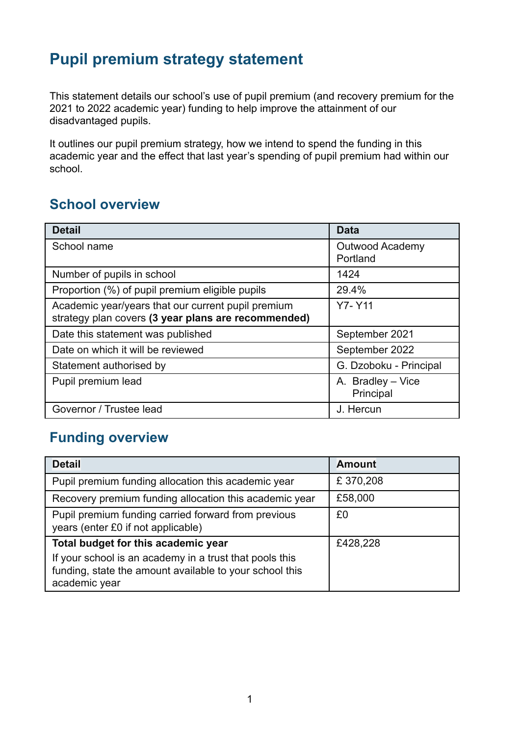# **Pupil premium strategy statement**

This statement details our school's use of pupil premium (and recovery premium for the 2021 to 2022 academic year) funding to help improve the attainment of our disadvantaged pupils.

It outlines our pupil premium strategy, how we intend to spend the funding in this academic year and the effect that last year's spending of pupil premium had within our school.

# **School overview**

| <b>Detail</b>                                       | <b>Data</b>            |
|-----------------------------------------------------|------------------------|
| School name                                         | Outwood Academy        |
|                                                     | Portland               |
| Number of pupils in school                          | 1424                   |
| Proportion (%) of pupil premium eligible pupils     | 29.4%                  |
| Academic year/years that our current pupil premium  | Y7-Y11                 |
| strategy plan covers (3 year plans are recommended) |                        |
| Date this statement was published                   | September 2021         |
| Date on which it will be reviewed                   | September 2022         |
| Statement authorised by                             | G. Dzoboku - Principal |
| Pupil premium lead                                  | A. Bradley - Vice      |
|                                                     | Principal              |
| Governor / Trustee lead                             | J. Hercun              |

### **Funding overview**

| <b>Detail</b>                                                                                                                       | <b>Amount</b> |
|-------------------------------------------------------------------------------------------------------------------------------------|---------------|
| Pupil premium funding allocation this academic year                                                                                 | £370,208      |
| Recovery premium funding allocation this academic year                                                                              | £58,000       |
| Pupil premium funding carried forward from previous<br>years (enter £0 if not applicable)                                           | £0            |
| Total budget for this academic year                                                                                                 | £428,228      |
| If your school is an academy in a trust that pools this<br>funding, state the amount available to your school this<br>academic year |               |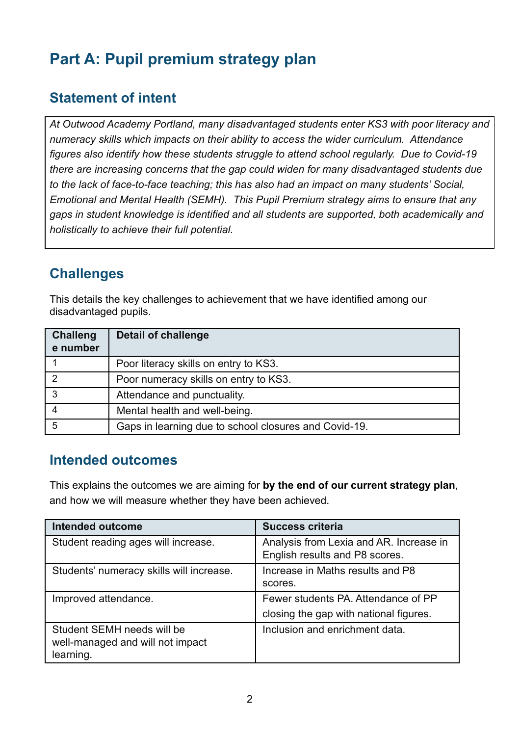# **Part A: Pupil premium strategy plan**

### **Statement of intent**

*At Outwood Academy Portland, many disadvantaged students enter KS3 with poor literacy and numeracy skills which impacts on their ability to access the wider curriculum. Attendance figures also identify how these students struggle to attend school regularly. Due to Covid-19 there are increasing concerns that the gap could widen for many disadvantaged students due to the lack of face-to-face teaching; this has also had an impact on many students' Social, Emotional and Mental Health (SEMH). This Pupil Premium strategy aims to ensure that any gaps in student knowledge is identified and all students are supported, both academically and holistically to achieve their full potential.*

## **Challenges**

This details the key challenges to achievement that we have identified among our disadvantaged pupils.

| <b>Challeng</b><br>e number | Detail of challenge                                   |
|-----------------------------|-------------------------------------------------------|
|                             | Poor literacy skills on entry to KS3.                 |
| 2                           | Poor numeracy skills on entry to KS3.                 |
| 3                           | Attendance and punctuality.                           |
| 4                           | Mental health and well-being.                         |
| 5                           | Gaps in learning due to school closures and Covid-19. |

### **Intended outcomes**

This explains the outcomes we are aiming for **by the end of our current strategy plan**, and how we will measure whether they have been achieved.

| <b>Intended outcome</b>                                                     | <b>Success criteria</b>                                                       |
|-----------------------------------------------------------------------------|-------------------------------------------------------------------------------|
| Student reading ages will increase.                                         | Analysis from Lexia and AR. Increase in<br>English results and P8 scores.     |
| Students' numeracy skills will increase.                                    | Increase in Maths results and P8<br>scores.                                   |
| Improved attendance.                                                        | Fewer students PA. Attendance of PP<br>closing the gap with national figures. |
| Student SEMH needs will be<br>well-managed and will not impact<br>learning. | Inclusion and enrichment data.                                                |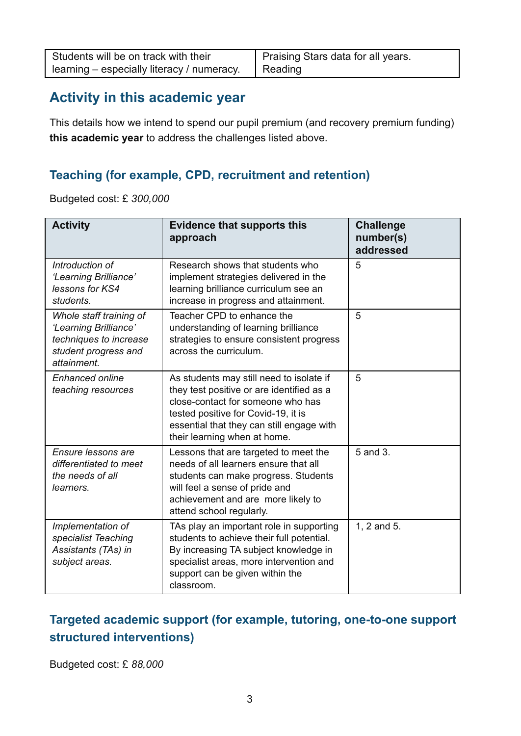| Students will be on track with their       | Praising Stars data for all years. |
|--------------------------------------------|------------------------------------|
| learning – especially literacy / numeracy. | Reading                            |

## **Activity in this academic year**

This details how we intend to spend our pupil premium (and recovery premium funding) **this academic year** to address the challenges listed above.

#### **Teaching (for example, CPD, recruitment and retention)**

Budgeted cost: £ *300,000*

| <b>Activity</b>                                                                                                   | <b>Evidence that supports this</b><br>approach                                                                                                                                                                                                 | <b>Challenge</b><br>number(s)<br>addressed |
|-------------------------------------------------------------------------------------------------------------------|------------------------------------------------------------------------------------------------------------------------------------------------------------------------------------------------------------------------------------------------|--------------------------------------------|
| Introduction of<br>'Learning Brilliance'<br>lessons for KS4<br>students.                                          | Research shows that students who<br>implement strategies delivered in the<br>learning brilliance curriculum see an<br>increase in progress and attainment.                                                                                     | 5                                          |
| Whole staff training of<br>'Learning Brilliance'<br>techniques to increase<br>student progress and<br>attainment. | Teacher CPD to enhance the<br>understanding of learning brilliance<br>strategies to ensure consistent progress<br>across the curriculum.                                                                                                       | 5                                          |
| <b>Enhanced online</b><br>teaching resources                                                                      | As students may still need to isolate if<br>they test positive or are identified as a<br>close-contact for someone who has<br>tested positive for Covid-19, it is<br>essential that they can still engage with<br>their learning when at home. | 5                                          |
| Ensure lessons are<br>differentiated to meet<br>the needs of all<br>learners.                                     | Lessons that are targeted to meet the<br>needs of all learners ensure that all<br>students can make progress. Students<br>will feel a sense of pride and<br>achievement and are more likely to<br>attend school regularly.                     | 5 and 3.                                   |
| Implementation of<br>specialist Teaching<br>Assistants (TAs) in<br>subject areas.                                 | TAs play an important role in supporting<br>students to achieve their full potential.<br>By increasing TA subject knowledge in<br>specialist areas, more intervention and<br>support can be given within the<br>classroom.                     | 1, 2 and 5.                                |

### **Targeted academic support (for example, tutoring, one-to-one support structured interventions)**

Budgeted cost: £ *88,000*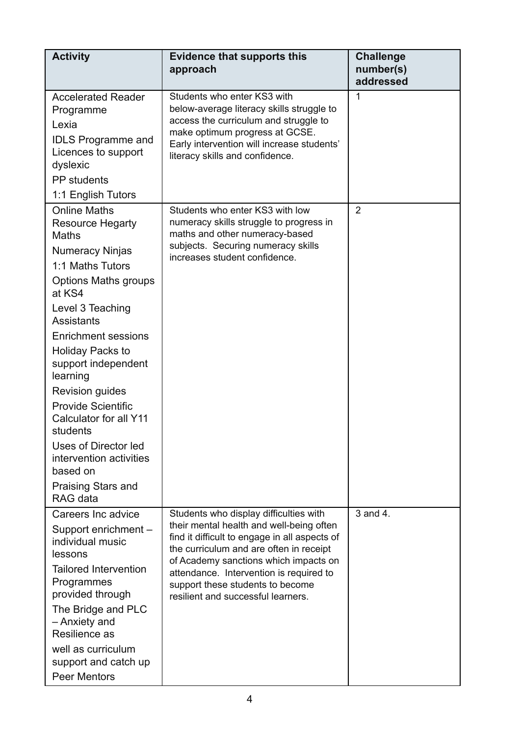| <b>Activity</b>                                                                                                                                                                                                                                                                                                                                                                                                                                                                          | <b>Evidence that supports this</b><br>approach                                                                                                                                                                                                                                                                                               | <b>Challenge</b><br>number(s)<br>addressed |
|------------------------------------------------------------------------------------------------------------------------------------------------------------------------------------------------------------------------------------------------------------------------------------------------------------------------------------------------------------------------------------------------------------------------------------------------------------------------------------------|----------------------------------------------------------------------------------------------------------------------------------------------------------------------------------------------------------------------------------------------------------------------------------------------------------------------------------------------|--------------------------------------------|
| <b>Accelerated Reader</b><br>Programme<br>Lexia<br><b>IDLS Programme and</b><br>Licences to support<br>dyslexic<br><b>PP</b> students<br>1:1 English Tutors                                                                                                                                                                                                                                                                                                                              | Students who enter KS3 with<br>below-average literacy skills struggle to<br>access the curriculum and struggle to<br>make optimum progress at GCSE.<br>Early intervention will increase students'<br>literacy skills and confidence.                                                                                                         | 1                                          |
| <b>Online Maths</b><br><b>Resource Hegarty</b><br><b>Maths</b><br><b>Numeracy Ninjas</b><br>1:1 Maths Tutors<br>Options Maths groups<br>at KS4<br>Level 3 Teaching<br><b>Assistants</b><br><b>Enrichment sessions</b><br><b>Holiday Packs to</b><br>support independent<br>learning<br><b>Revision guides</b><br><b>Provide Scientific</b><br>Calculator for all Y11<br>students<br>Uses of Director led<br>intervention activities<br>based on<br><b>Praising Stars and</b><br>RAG data | Students who enter KS3 with low<br>numeracy skills struggle to progress in<br>maths and other numeracy-based<br>subjects. Securing numeracy skills<br>increases student confidence.                                                                                                                                                          | $\overline{2}$                             |
| Careers Inc advice<br>Support enrichment -<br>individual music<br>lessons<br><b>Tailored Intervention</b><br>Programmes<br>provided through<br>The Bridge and PLC<br>- Anxiety and<br>Resilience as<br>well as curriculum<br>support and catch up<br><b>Peer Mentors</b>                                                                                                                                                                                                                 | Students who display difficulties with<br>their mental health and well-being often<br>find it difficult to engage in all aspects of<br>the curriculum and are often in receipt<br>of Academy sanctions which impacts on<br>attendance. Intervention is required to<br>support these students to become<br>resilient and successful learners. | 3 and 4.                                   |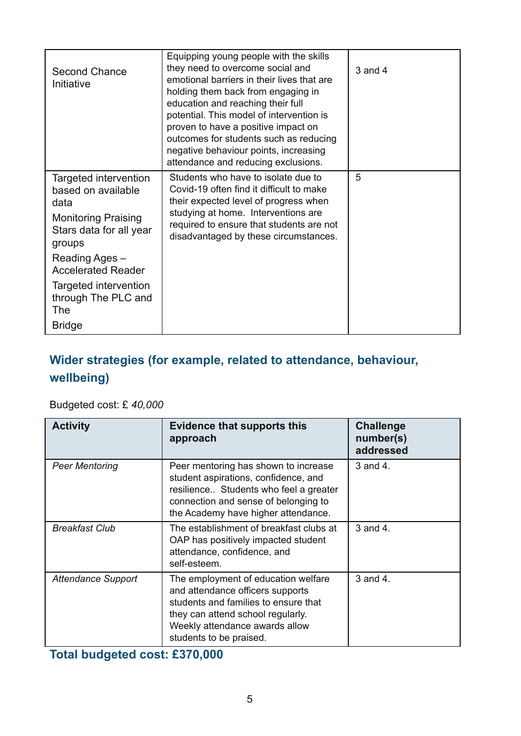| Second Chance<br>Initiative                                                                                                                                                                                                  | Equipping young people with the skills<br>they need to overcome social and<br>emotional barriers in their lives that are<br>holding them back from engaging in<br>education and reaching their full<br>potential. This model of intervention is<br>proven to have a positive impact on<br>outcomes for students such as reducing<br>negative behaviour points, increasing<br>attendance and reducing exclusions. | $3$ and $4$ |
|------------------------------------------------------------------------------------------------------------------------------------------------------------------------------------------------------------------------------|------------------------------------------------------------------------------------------------------------------------------------------------------------------------------------------------------------------------------------------------------------------------------------------------------------------------------------------------------------------------------------------------------------------|-------------|
| Targeted intervention<br>based on available<br>data<br><b>Monitoring Praising</b><br>Stars data for all year<br>groups<br>Reading Ages -<br><b>Accelerated Reader</b><br>Targeted intervention<br>through The PLC and<br>The | Students who have to isolate due to<br>Covid-19 often find it difficult to make<br>their expected level of progress when<br>studying at home. Interventions are<br>required to ensure that students are not<br>disadvantaged by these circumstances.                                                                                                                                                             | 5           |
| <b>Bridge</b>                                                                                                                                                                                                                |                                                                                                                                                                                                                                                                                                                                                                                                                  |             |

## **Wider strategies (for example, related to attendance, behaviour, wellbeing)**

Budgeted cost: £ *40,000*

| <b>Activity</b>           | <b>Evidence that supports this</b><br>approach                                                                                                                                                                    | <b>Challenge</b><br>number(s)<br>addressed |
|---------------------------|-------------------------------------------------------------------------------------------------------------------------------------------------------------------------------------------------------------------|--------------------------------------------|
| <b>Peer Mentoring</b>     | Peer mentoring has shown to increase<br>student aspirations, confidence, and<br>resilience Students who feel a greater<br>connection and sense of belonging to<br>the Academy have higher attendance.             | 3 and 4.                                   |
| <b>Breakfast Club</b>     | The establishment of breakfast clubs at<br>OAP has positively impacted student<br>attendance, confidence, and<br>self-esteem.                                                                                     | $3$ and $4$ .                              |
| <b>Attendance Support</b> | The employment of education welfare<br>and attendance officers supports<br>students and families to ensure that<br>they can attend school regularly.<br>Weekly attendance awards allow<br>students to be praised. | 3 and 4.                                   |

**Total budgeted cost: £370,000**